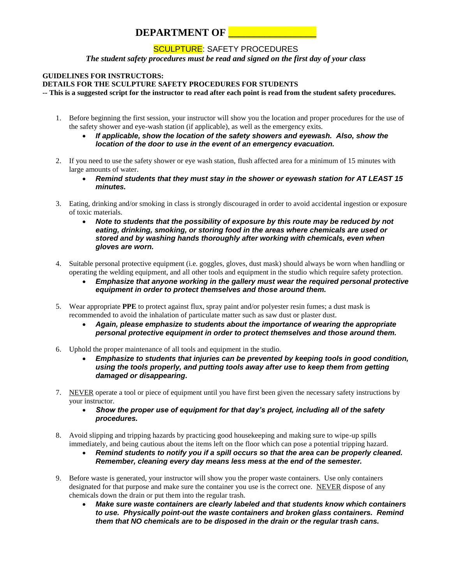## **DEPARTMENT OF**

## SCULPTURE: SAFETY PROCEDURES

*The student safety procedures must be read and signed on the first day of your class*

## **GUIDELINES FOR INSTRUCTORS:**

**DETAILS FOR THE SCULPTURE SAFETY PROCEDURES FOR STUDENTS**

**-- This is a suggested script for the instructor to read after each point is read from the student safety procedures.**

- 1. Before beginning the first session, your instructor will show you the location and proper procedures for the use of the safety shower and eye-wash station (if applicable), as well as the emergency exits.
	- *If applicable, show the location of the safety showers and eyewash. Also, show the location of the door to use in the event of an emergency evacuation.*
- 2. If you need to use the safety shower or eye wash station, flush affected area for a minimum of 15 minutes with large amounts of water.
	- *Remind students that they must stay in the shower or eyewash station for AT LEAST 15 minutes.*
- 3. Eating, drinking and/or smoking in class is strongly discouraged in order to avoid accidental ingestion or exposure of toxic materials.
	- *Note to students that the possibility of exposure by this route may be reduced by not eating, drinking, smoking, or storing food in the areas where chemicals are used or stored and by washing hands thoroughly after working with chemicals, even when gloves are worn.*
- 4. Suitable personal protective equipment (i.e. goggles, gloves, dust mask) should always be worn when handling or operating the welding equipment, and all other tools and equipment in the studio which require safety protection.
	- *Emphasize that anyone working in the gallery must wear the required personal protective equipment in order to protect themselves and those around them.*
- 5. Wear appropriate **PPE** to protect against flux, spray paint and/or polyester resin fumes; a dust mask is recommended to avoid the inhalation of particulate matter such as saw dust or plaster dust.
	- *Again, please emphasize to students about the importance of wearing the appropriate personal protective equipment in order to protect themselves and those around them.*
- 6. Uphold the proper maintenance of all tools and equipment in the studio.
	- *Emphasize to students that injuries can be prevented by keeping tools in good condition, using the tools properly, and putting tools away after use to keep them from getting damaged or disappearing.*
- 7. NEVER operate a tool or piece of equipment until you have first been given the necessary safety instructions by your instructor.
	- *Show the proper use of equipment for that day's project, including all of the safety procedures.*
- 8. Avoid slipping and tripping hazards by practicing good housekeeping and making sure to wipe-up spills immediately, and being cautious about the items left on the floor which can pose a potential tripping hazard.
	- *Remind students to notify you if a spill occurs so that the area can be properly cleaned. Remember, cleaning every day means less mess at the end of the semester.*
- 9. Before waste is generated, your instructor will show you the proper waste containers. Use only containers designated for that purpose and make sure the container you use is the correct one. NEVER dispose of any chemicals down the drain or put them into the regular trash.
	- *Make sure waste containers are clearly labeled and that students know which containers to use. Physically point-out the waste containers and broken glass containers. Remind them that NO chemicals are to be disposed in the drain or the regular trash cans.*